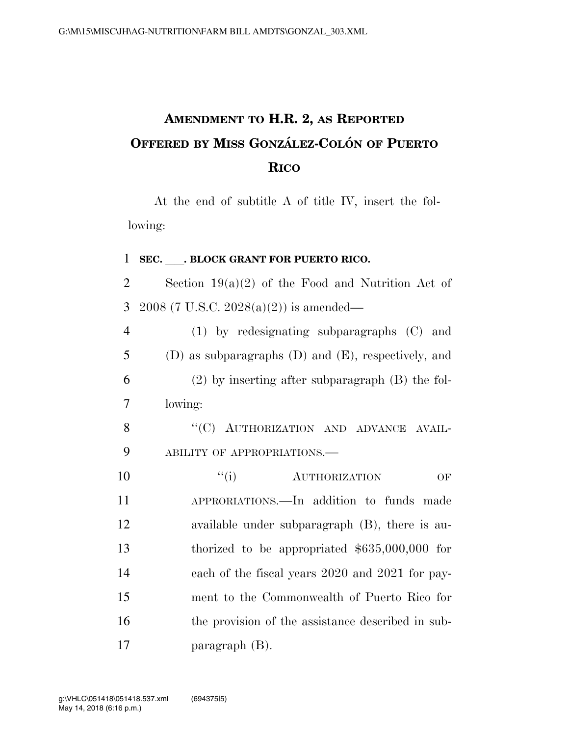## **AMENDMENT TO H.R. 2, AS REPORTED OFFERED BY MISS GONZA´ LEZ-COLO´ N OF PUERTO RICO**

At the end of subtitle A of title IV, insert the following:

## <sup>1</sup> **SEC.** ll**. BLOCK GRANT FOR PUERTO RICO.**

2 Section  $19(a)(2)$  of the Food and Nutrition Act of 3 2008 (7 U.S.C. 2028(a)(2)) is amended—

| $\overline{4}$ | $(1)$ by redesignating subparagraphs $(C)$ and             |
|----------------|------------------------------------------------------------|
| 5              | $(D)$ as subparagraphs $(D)$ and $(E)$ , respectively, and |
| 6              | $(2)$ by inserting after subparagraph $(B)$ the fol-       |
| 7              | lowing:                                                    |
| 8              | "(C) AUTHORIZATION AND ADVANCE AVAIL-                      |
| 9              | ABILITY OF APPROPRIATIONS.                                 |
| 10             | ``(i)<br><b>AUTHORIZATION</b><br>OF                        |
| 11             | APPRORIATIONS.—In addition to funds made                   |
| 12             | available under subparagraph $(B)$ , there is au-          |
| 13             | thorized to be appropriated $$635,000,000$ for             |
| 14             | each of the fiscal years 2020 and 2021 for pay-            |
| 15             | ment to the Commonwealth of Puerto Rico for                |

16 the provision of the assistance described in sub-17 paragraph (B).